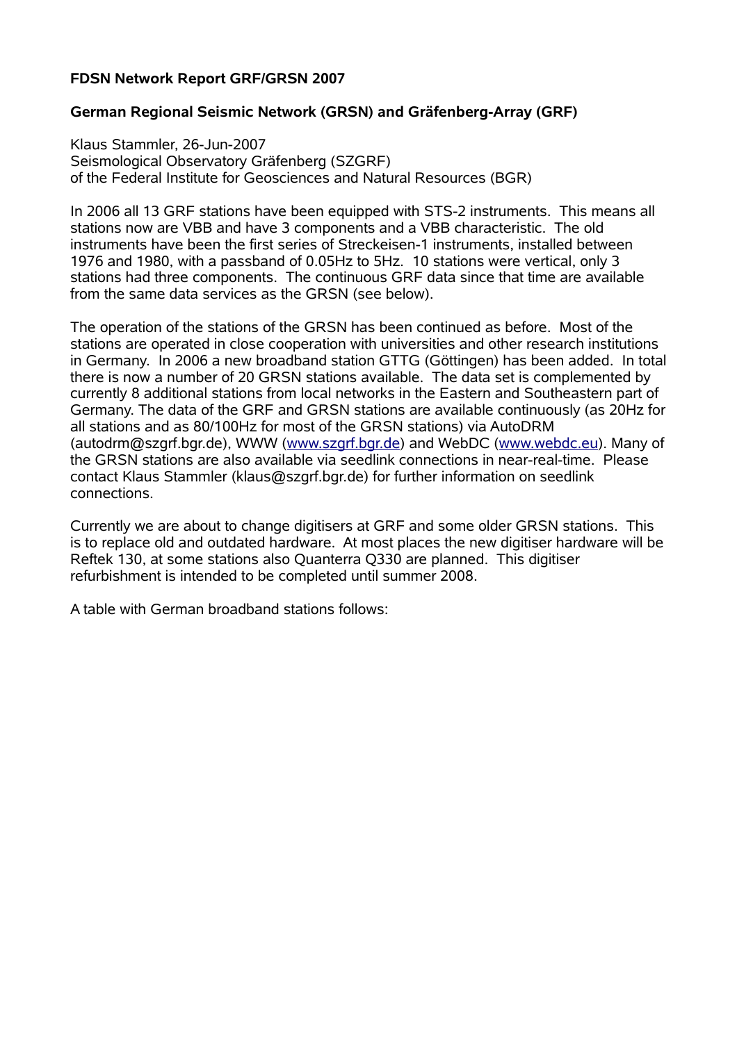## **FDSN Network Report GRF/GRSN 2007**

## **German Regional Seismic Network (GRSN) and Gräfenberg-Array (GRF)**

Klaus Stammler, 26-Jun-2007 Seismological Observatory Gräfenberg (SZGRF) of the Federal Institute for Geosciences and Natural Resources (BGR)

In 2006 all 13 GRF stations have been equipped with STS-2 instruments. This means all stations now are VBB and have 3 components and a VBB characteristic. The old instruments have been the first series of Streckeisen-1 instruments, installed between 1976 and 1980, with a passband of 0.05Hz to 5Hz. 10 stations were vertical, only 3 stations had three components. The continuous GRF data since that time are available from the same data services as the GRSN (see below).

The operation of the stations of the GRSN has been continued as before. Most of the stations are operated in close cooperation with universities and other research institutions in Germany. In 2006 a new broadband station GTTG (Göttingen) has been added. In total there is now a number of 20 GRSN stations available. The data set is complemented by currently 8 additional stations from local networks in the Eastern and Southeastern part of Germany. The data of the GRF and GRSN stations are available continuously (as 20Hz for all stations and as 80/100Hz for most of the GRSN stations) via AutoDRM (autodrm@szgrf.bgr.de), WWW ([www.szgrf.bgr.de](http://www.szgrf.bgr.de/)) and WebDC ([www.webdc.eu\)](http://www.webdc.eu/). Many of the GRSN stations are also available via seedlink connections in near-real-time. Please contact Klaus Stammler (klaus@szgrf.bgr.de) for further information on seedlink connections.

Currently we are about to change digitisers at GRF and some older GRSN stations. This is to replace old and outdated hardware. At most places the new digitiser hardware will be Reftek 130, at some stations also Quanterra Q330 are planned. This digitiser refurbishment is intended to be completed until summer 2008.

A table with German broadband stations follows: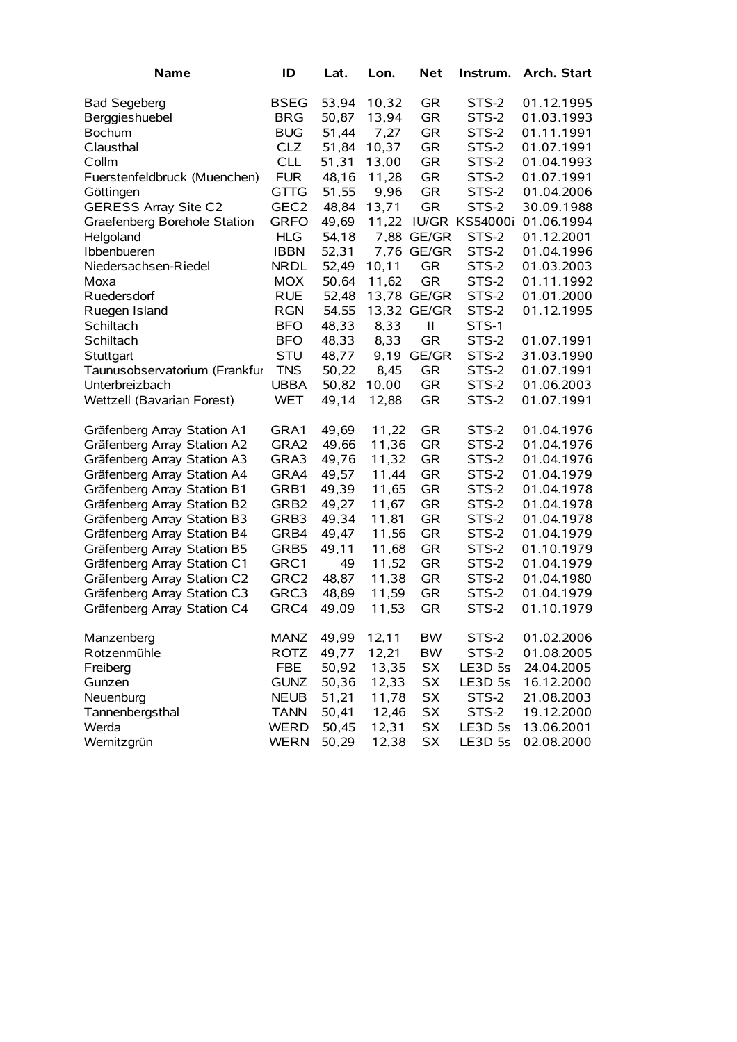| <b>Name</b>                   | ID               | Lat.  | Lon.   | <b>Net</b>   | Instrum.           | Arch. Start |
|-------------------------------|------------------|-------|--------|--------------|--------------------|-------------|
| <b>Bad Segeberg</b>           | <b>BSEG</b>      | 53,94 | 10,32  | <b>GR</b>    | STS-2              | 01.12.1995  |
| Berggieshuebel                | <b>BRG</b>       | 50,87 | 13,94  | <b>GR</b>    | STS-2              | 01.03.1993  |
| <b>Bochum</b>                 | <b>BUG</b>       | 51,44 | 7,27   | <b>GR</b>    | STS-2              | 01.11.1991  |
| Clausthal                     | <b>CLZ</b>       | 51,84 | 10,37  | <b>GR</b>    | STS-2              | 01.07.1991  |
| Collm                         | <b>CLL</b>       | 51,31 | 13,00  | <b>GR</b>    | STS-2              | 01.04.1993  |
| Fuerstenfeldbruck (Muenchen)  | <b>FUR</b>       | 48,16 | 11,28  | <b>GR</b>    | STS-2              | 01.07.1991  |
| Göttingen                     | <b>GTTG</b>      | 51,55 | 9,96   | <b>GR</b>    | STS-2              | 01.04.2006  |
| <b>GERESS Array Site C2</b>   | GEC <sub>2</sub> | 48,84 | 13,71  | <b>GR</b>    | STS-2              | 30.09.1988  |
| Graefenberg Borehole Station  | <b>GRFO</b>      | 49,69 | 11,22  |              | IU/GR KS54000i     | 01.06.1994  |
| Helgoland                     | <b>HLG</b>       | 54,18 | 7,88   | GE/GR        | STS-2              | 01.12.2001  |
| Ibbenbueren                   | <b>IBBN</b>      | 52,31 | 7,76   | GE/GR        | STS-2              | 01.04.1996  |
| Niedersachsen-Riedel          | <b>NRDL</b>      | 52,49 | 10,11  | <b>GR</b>    | STS-2              | 01.03.2003  |
| Moxa                          | <b>MOX</b>       | 50,64 | 11,62  | <b>GR</b>    | STS-2              | 01.11.1992  |
| Ruedersdorf                   | <b>RUE</b>       | 52,48 | 13,78  | GE/GR        | STS-2              | 01.01.2000  |
| Ruegen Island                 | <b>RGN</b>       | 54,55 | 13,32  | GE/GR        | STS-2              | 01.12.1995  |
| Schiltach                     | <b>BFO</b>       | 48,33 | 8,33   | $\mathbf{I}$ | STS-1              |             |
| Schiltach                     | <b>BFO</b>       | 48,33 | 8,33   | <b>GR</b>    | STS-2              | 01.07.1991  |
| Stuttgart                     | <b>STU</b>       | 48,77 | 9,19   | GE/GR        | STS-2              | 31.03.1990  |
| Taunusobservatorium (Frankfur | <b>TNS</b>       | 50,22 | 8,45   | <b>GR</b>    | STS-2              | 01.07.1991  |
| Unterbreizbach                | <b>UBBA</b>      | 50,82 | 10,00  | <b>GR</b>    | STS-2              | 01.06.2003  |
| Wettzell (Bavarian Forest)    | <b>WET</b>       | 49,14 | 12,88  | <b>GR</b>    | STS-2              | 01.07.1991  |
| Gräfenberg Array Station A1   | GRA1             | 49,69 | 11,22  | GR           | STS-2              | 01.04.1976  |
| Gräfenberg Array Station A2   | GRA2             | 49,66 | 11,36  | <b>GR</b>    | STS-2              | 01.04.1976  |
| Gräfenberg Array Station A3   | GRA3             | 49,76 | 11,32  | <b>GR</b>    | STS-2              | 01.04.1976  |
| Gräfenberg Array Station A4   | GRA4             | 49,57 | 11,44  | <b>GR</b>    | STS-2              | 01.04.1979  |
| Gräfenberg Array Station B1   | GRB1             | 49,39 | 11,65  | <b>GR</b>    | STS-2              | 01.04.1978  |
| Gräfenberg Array Station B2   | GRB2             | 49,27 | 11,67  | <b>GR</b>    | STS-2              | 01.04.1978  |
| Gräfenberg Array Station B3   | GRB3             | 49,34 | 11,81  | <b>GR</b>    | STS-2              | 01.04.1978  |
| Gräfenberg Array Station B4   | GRB4             | 49,47 | 11,56  | <b>GR</b>    | STS-2              | 01.04.1979  |
| Gräfenberg Array Station B5   | GRB5             | 49,11 | 11,68  | <b>GR</b>    | STS-2              | 01.10.1979  |
| Gräfenberg Array Station C1   | GRC1             | 49    | 11,52  | <b>GR</b>    | STS-2              | 01.04.1979  |
| Gräfenberg Array Station C2   | GRC2             | 48,87 | 11,38  | <b>GR</b>    | STS-2              | 01.04.1980  |
| Gräfenberg Array Station C3   | GRC3             | 48,89 | 11,59  | <b>GR</b>    | STS-2              | 01.04.1979  |
| Gräfenberg Array Station C4   | GRC4             | 49,09 | 11,53  | <b>GR</b>    | STS-2              | 01.10.1979  |
| Manzenberg                    | MANZ             | 49,99 | 12, 11 | <b>BW</b>    | STS-2              | 01.02.2006  |
| Rotzenmühle                   | <b>ROTZ</b>      | 49,77 | 12,21  | BW           | STS-2              | 01.08.2005  |
| Freiberg                      | <b>FBE</b>       | 50,92 | 13,35  | <b>SX</b>    | LE3D 5s            | 24.04.2005  |
| Gunzen                        | <b>GUNZ</b>      | 50,36 | 12,33  | <b>SX</b>    | LE3D <sub>5s</sub> | 16.12.2000  |
| Neuenburg                     | <b>NEUB</b>      | 51,21 | 11,78  | <b>SX</b>    | STS-2              | 21.08.2003  |
| Tannenbergsthal               | <b>TANN</b>      | 50,41 | 12,46  | <b>SX</b>    | STS-2              | 19.12.2000  |
| Werda                         | <b>WERD</b>      | 50,45 | 12,31  | <b>SX</b>    | LE3D 5s            | 13.06.2001  |
| Wernitzgrün                   | <b>WERN</b>      | 50,29 | 12,38  | <b>SX</b>    | LE3D 5s            | 02.08.2000  |